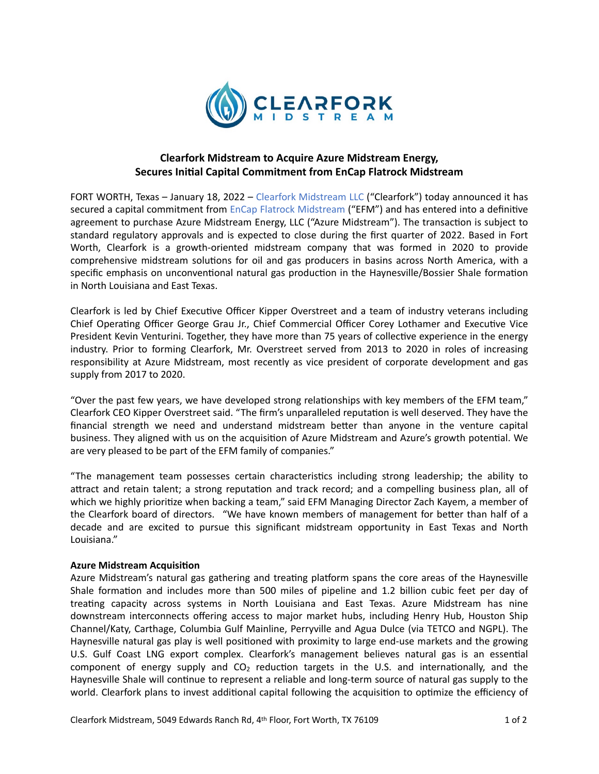

# **Clearfork Midstream to Acquire Azure Midstream Energy, Secures Initial Capital Commitment from EnCap Flatrock Midstream**

FORT WORTH, Texas - January 18, 2022 - Clearfork Midstream LLC ("Clearfork") today announced it has secured a capital commitment from EnCap Flatrock Midstream ("EFM") and has entered into a definitive agreement to purchase Azure Midstream Energy, LLC ("Azure Midstream"). The transaction is subject to standard regulatory approvals and is expected to close during the first quarter of 2022. Based in Fort Worth, Clearfork is a growth-oriented midstream company that was formed in 2020 to provide comprehensive midstream solutions for oil and gas producers in basins across North America, with a specific emphasis on unconventional natural gas production in the Haynesville/Bossier Shale formation in North Louisiana and East Texas.

Clearfork is led by Chief Executive Officer Kipper Overstreet and a team of industry veterans including Chief Operating Officer George Grau Jr., Chief Commercial Officer Corey Lothamer and Executive Vice President Kevin Venturini. Together, they have more than 75 years of collective experience in the energy industry. Prior to forming Clearfork, Mr. Overstreet served from 2013 to 2020 in roles of increasing responsibility at Azure Midstream, most recently as vice president of corporate development and gas supply from 2017 to 2020.

"Over the past few years, we have developed strong relationships with key members of the EFM team," Clearfork CEO Kipper Overstreet said. "The firm's unparalleled reputation is well deserved. They have the financial strength we need and understand midstream better than anyone in the venture capital business. They aligned with us on the acquisition of Azure Midstream and Azure's growth potential. We are very pleased to be part of the EFM family of companies."

"The management team possesses certain characteristics including strong leadership; the ability to attract and retain talent; a strong reputation and track record; and a compelling business plan, all of which we highly prioritize when backing a team," said EFM Managing Director Zach Kayem, a member of the Clearfork board of directors. "We have known members of management for better than half of a decade and are excited to pursue this significant midstream opportunity in East Texas and North Louisiana."

# **Azure Midstream Acquisition**

Azure Midstream's natural gas gathering and treating platform spans the core areas of the Haynesville Shale formation and includes more than 500 miles of pipeline and 1.2 billion cubic feet per day of treating capacity across systems in North Louisiana and East Texas. Azure Midstream has nine downstream interconnects offering access to major market hubs, including Henry Hub, Houston Ship Channel/Katy, Carthage, Columbia Gulf Mainline, Perryville and Agua Dulce (via TETCO and NGPL). The Haynesville natural gas play is well positioned with proximity to large end-use markets and the growing U.S. Gulf Coast LNG export complex. Clearfork's management believes natural gas is an essential component of energy supply and  $CO<sub>2</sub>$  reduction targets in the U.S. and internationally, and the Haynesville Shale will continue to represent a reliable and long-term source of natural gas supply to the world. Clearfork plans to invest additional capital following the acquisition to optimize the efficiency of